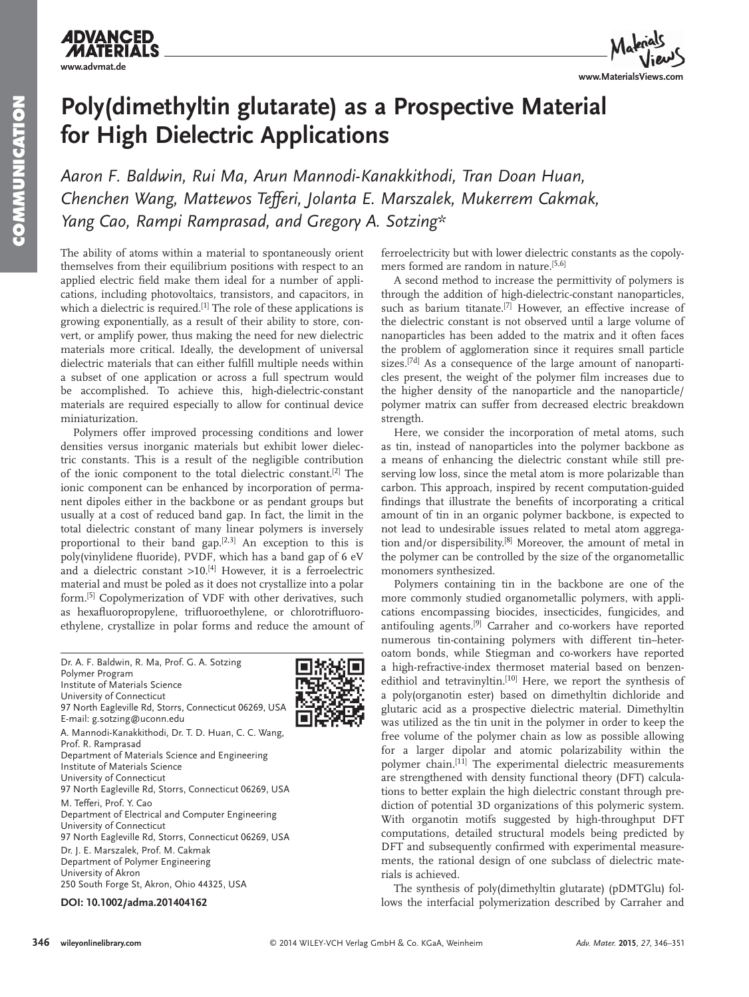

## **Poly(dimethyltin glutarate) as a Prospective Material for High Dielectric Applications**

Aaron F. Baldwin, Rui Ma, Arun Mannodi-Kanakkithodi, Tran Doan Huan,  *Chenchen Wang , Mattewos Tefferi , Jolanta E. Marszalek , Mukerrem Cakmak ,*  Yang Cao, Rampi Ramprasad, and Gregory A. Sotzing\*

 The ability of atoms within a material to spontaneously orient themselves from their equilibrium positions with respect to an applied electric field make them ideal for a number of applications, including photovoltaics, transistors, and capacitors, in which a dielectric is required.<sup>[1]</sup> The role of these applications is growing exponentially, as a result of their ability to store, convert, or amplify power, thus making the need for new dielectric materials more critical. Ideally, the development of universal dielectric materials that can either fulfill multiple needs within a subset of one application or across a full spectrum would be accomplished. To achieve this, high-dielectric-constant materials are required especially to allow for continual device miniaturization.

 Polymers offer improved processing conditions and lower densities versus inorganic materials but exhibit lower dielectric constants. This is a result of the negligible contribution of the ionic component to the total dielectric constant.<sup>[2]</sup> The ionic component can be enhanced by incorporation of permanent dipoles either in the backbone or as pendant groups but usually at a cost of reduced band gap. In fact, the limit in the total dielectric constant of many linear polymers is inversely proportional to their band gap. $[2,3]$  An exception to this is poly(vinylidene fluoride), PVDF, which has a band gap of 6 eV and a dielectric constant  $>10$ .<sup>[4]</sup> However, it is a ferroelectric material and must be poled as it does not crystallize into a polar form.<sup>[5]</sup> Copolymerization of VDF with other derivatives, such as hexafluoropropylene, trifluoroethylene, or chlorotrifluoroethylene, crystallize in polar forms and reduce the amount of

 Dr. A. F. Baldwin, R. Ma, Prof. G. A. Sotzing Polymer Program Institute of Materials Science University of Connecticut 97 North Eagleville Rd, Storrs, Connecticut 06269, USA E-mail: g.sotzing@uconn.edu A. Mannodi-Kanakkithodi, Dr. T. D. Huan, C. C. Wang, Prof. R. Ramprasad Department of Materials Science and Engineering Institute of Materials Science University of Connecticut 97 North Eagleville Rd, Storrs, Connecticut 06269, USA M. Tefferi, Prof. Y. Cao Department of Electrical and Computer Engineering University of Connecticut 97 North Eagleville Rd, Storrs, Connecticut 06269, USA Dr. J. E. Marszalek, Prof. M. Cakmak Department of Polymer Engineering University of Akron 250 South Forge St, Akron, Ohio 44325, USA

**DOI: 10.1002/adma.201404162**



 A second method to increase the permittivity of polymers is through the addition of high-dielectric-constant nanoparticles, such as barium titanate.<sup>[7]</sup> However, an effective increase of the dielectric constant is not observed until a large volume of nanoparticles has been added to the matrix and it often faces the problem of agglomeration since it requires small particle sizes.  $[7d]$  As a consequence of the large amount of nanoparticles present, the weight of the polymer film increases due to the higher density of the nanoparticle and the nanoparticle/ polymer matrix can suffer from decreased electric breakdown strength.

 Here, we consider the incorporation of metal atoms, such as tin, instead of nanoparticles into the polymer backbone as a means of enhancing the dielectric constant while still preserving low loss, since the metal atom is more polarizable than carbon. This approach, inspired by recent computation-guided findings that illustrate the benefits of incorporating a critical amount of tin in an organic polymer backbone, is expected to not lead to undesirable issues related to metal atom aggregation and/or dispersibility.<sup>[8]</sup> Moreover, the amount of metal in the polymer can be controlled by the size of the organometallic monomers synthesized.

 Polymers containing tin in the backbone are one of the more commonly studied organometallic polymers, with applications encompassing biocides, insecticides, fungicides, and antifouling agents.<sup>[9]</sup> Carraher and co-workers have reported numerous tin-containing polymers with different tin–heteroatom bonds, while Stiegman and co-workers have reported a high-refractive-index thermoset material based on benzenedithiol and tetravinyltin.<sup>[10]</sup> Here, we report the synthesis of a poly(organotin ester) based on dimethyltin dichloride and glutaric acid as a prospective dielectric material. Dimethyltin was utilized as the tin unit in the polymer in order to keep the free volume of the polymer chain as low as possible allowing for a larger dipolar and atomic polarizability within the polymer chain.<sup>[11]</sup> The experimental dielectric measurements are strengthened with density functional theory (DFT) calculations to better explain the high dielectric constant through prediction of potential 3D organizations of this polymeric system. With organotin motifs suggested by high-throughput DFT computations, detailed structural models being predicted by DFT and subsequently confirmed with experimental measurements, the rational design of one subclass of dielectric materials is achieved.

 The synthesis of poly(dimethyltin glutarate) (pDMTGlu) follows the interfacial polymerization described by Carraher and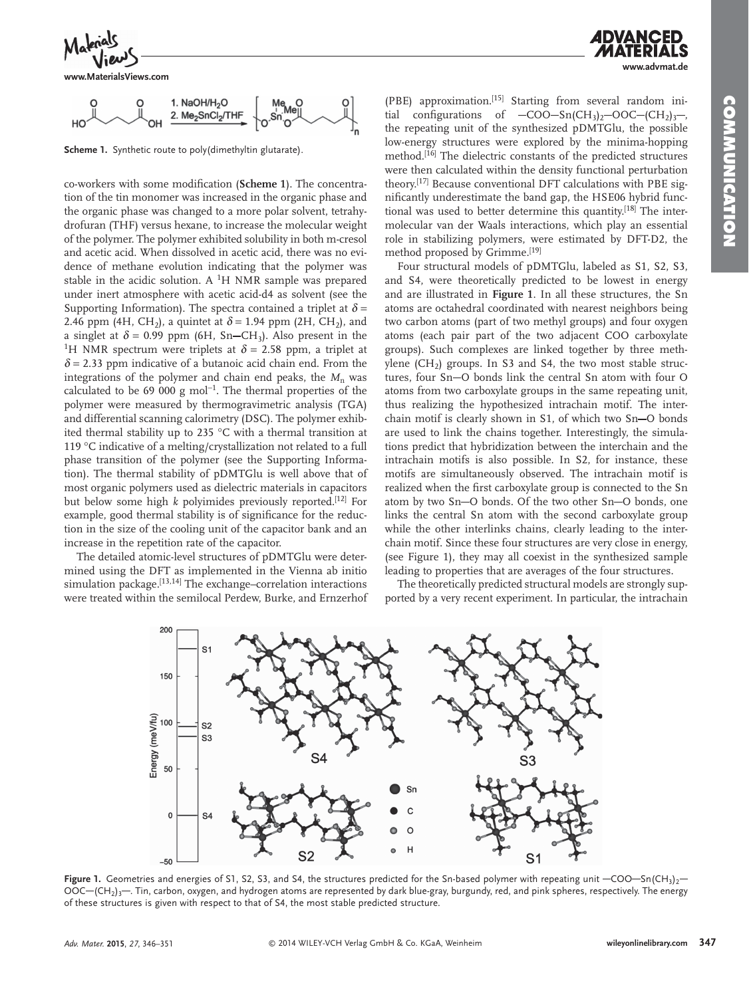

**www.MaterialsViews.com**



**Scheme 1.** Synthetic route to poly(dimethyltin glutarate).

co-workers with some modification (Scheme 1). The concentration of the tin monomer was increased in the organic phase and the organic phase was changed to a more polar solvent, tetrahydrofuran (THF) versus hexane, to increase the molecular weight of the polymer. The polymer exhibited solubility in both m-cresol and acetic acid. When dissolved in acetic acid, there was no evidence of methane evolution indicating that the polymer was stable in the acidic solution. A  ${}^{1}H$  NMR sample was prepared under inert atmosphere with acetic acid-d4 as solvent (see the Supporting Information). The spectra contained a triplet at  $\delta$  = 2.46 ppm (4H, CH<sub>2</sub>), a quintet at  $\delta$  = 1.94 ppm (2H, CH<sub>2</sub>), and a singlet at  $\delta = 0.99$  ppm (6H, Sn-CH<sub>3</sub>). Also present in the <sup>1</sup>H NMR spectrum were triplets at  $\delta$  = 2.58 ppm, a triplet at  $\delta$  = 2.33 ppm indicative of a butanoic acid chain end. From the integrations of the polymer and chain end peaks, the  $M_n$  was calculated to be 69 000 g mol<sup>-1</sup>. The thermal properties of the polymer were measured by thermogravimetric analysis (TGA) and differential scanning calorimetry (DSC). The polymer exhibited thermal stability up to 235 °C with a thermal transition at 119 °C indicative of a melting/crystallization not related to a full phase transition of the polymer (see the Supporting Information). The thermal stability of pDMTGlu is well above that of most organic polymers used as dielectric materials in capacitors but below some high  $k$  polyimides previously reported.<sup>[12]</sup> For example, good thermal stability is of significance for the reduction in the size of the cooling unit of the capacitor bank and an increase in the repetition rate of the capacitor.

 The detailed atomic-level structures of pDMTGlu were determined using the DFT as implemented in the Vienna ab initio simulation package.  $[13, 14]$  The exchange–correlation interactions were treated within the semilocal Perdew, Burke, and Ernzerhof

(PBE) approximation.<sup>[15]</sup> Starting from several random initial configurations of  $-COO-Sn(CH_3)_{2}$  -OOC  $-(CH_2)_{3}$  , the repeating unit of the synthesized pDMTGlu, the possible low-energy structures were explored by the minima-hopping method.<sup>[16]</sup> The dielectric constants of the predicted structures were then calculated within the density functional perturbation theory.<sup>[17]</sup> Because conventional DFT calculations with PBE significantly underestimate the band gap, the HSE06 hybrid functional was used to better determine this quantity.<sup>[18]</sup> The intermolecular van der Waals interactions, which play an essential role in stabilizing polymers, were estimated by DFT-D2, the method proposed by Grimme.<sup>[19]</sup>

 Four structural models of pDMTGlu, labeled as S1, S2, S3, and S4, were theoretically predicted to be lowest in energy and are illustrated in **Figure 1** . In all these structures, the Sn atoms are octahedral coordinated with nearest neighbors being two carbon atoms (part of two methyl groups) and four oxygen atoms (each pair part of the two adjacent COO carboxylate groups). Such complexes are linked together by three methylene  $(CH_2)$  groups. In S3 and S4, the two most stable structures, four Sn-O bonds link the central Sn atom with four O atoms from two carboxylate groups in the same repeating unit, thus realizing the hypothesized intrachain motif. The interchain motif is clearly shown in S1, of which two Sn-O bonds are used to link the chains together. Interestingly, the simulations predict that hybridization between the interchain and the intrachain motifs is also possible. In S2, for instance, these motifs are simultaneously observed. The intrachain motif is realized when the first carboxylate group is connected to the Sn atom by two Sn-O bonds. Of the two other Sn-O bonds, one links the central Sn atom with the second carboxylate group while the other interlinks chains, clearly leading to the interchain motif. Since these four structures are very close in energy, (see Figure 1), they may all coexist in the synthesized sample leading to properties that are averages of the four structures.

 The theoretically predicted structural models are strongly supported by a very recent experiment. In particular, the intrachain



Figure 1. Geometries and energies of S1, S2, S3, and S4, the structures predicted for the Sn-based polymer with repeating unit -COO-Sn(CH<sub>3</sub>)<sub>2</sub>-OOC-(CH<sub>2</sub>)<sub>3</sub>-. Tin, carbon, oxygen, and hydrogen atoms are represented by dark blue-gray, burgundy, red, and pink spheres, respectively. The energy of these structures is given with respect to that of S4, the most stable predicted structure.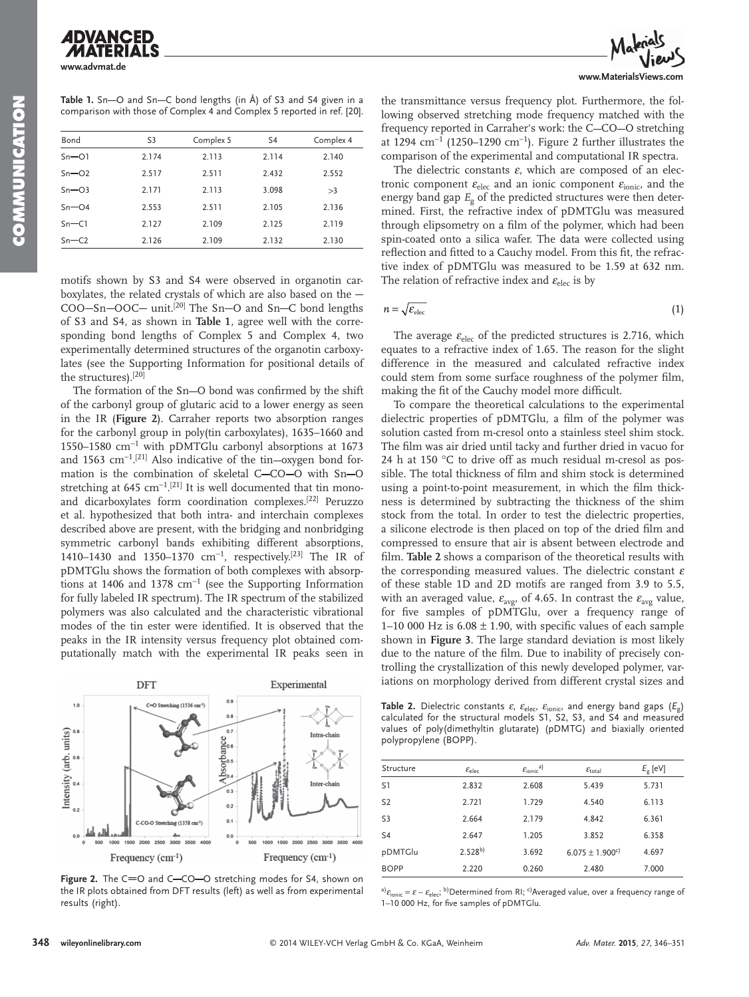**SOMMUNICATION COMMUNICATION**

**www.advmat.de**

Table 1. Sn-O and Sn-C bond lengths (in Å) of S3 and S4 given in a comparison with those of Complex 4 and Complex 5 reported in ref. [20].

| Bond      | S <sub>3</sub> | Complex 5 | S <sub>4</sub> | Complex 4 |
|-----------|----------------|-----------|----------------|-----------|
| $Sn = O1$ | 2.174          | 2.113     | 2.114          | 2.140     |
| $Sn = 02$ | 2.517          | 2.511     | 2.432          | 2.552     |
| $Sn - O3$ | 2.171          | 2.113     | 3.098          | >3        |
| $Sn-O4$   | 2.553          | 2.511     | 2.105          | 2.136     |
| $Sn-Cl$   | 2.127          | 2.109     | 2.125          | 2.119     |
| $Sn-C2$   | 2.126          | 2.109     | 2.132          | 2.130     |

motifs shown by S3 and S4 were observed in organotin carboxylates, the related crystals of which are also based on the  $COO-Sn-OOC-$  unit.<sup>[20]</sup> The Sn-O and Sn-C bond lengths of S3 and S4, as shown in **Table 1** , agree well with the corresponding bond lengths of Complex 5 and Complex 4, two experimentally determined structures of the organotin carboxylates (see the Supporting Information for positional details of the structures).<sup>[20]</sup>

The formation of the Sn-O bond was confirmed by the shift of the carbonyl group of glutaric acid to a lower energy as seen in the IR (**Figure** 2). Carraher reports two absorption ranges for the carbonyl group in poly(tin carboxylates), 1635–1660 and 1550–1580 cm<sup>-1</sup> with pDMTGlu carbonyl absorptions at 1673 and 1563 cm<sup>-1</sup>.<sup>[21]</sup> Also indicative of the tin-oxygen bond formation is the combination of skeletal C-CO-O with Sn-O stretching at 645  $cm^{-1}$ .[21] It is well documented that tin monoand dicarboxylates form coordination complexes.<sup>[22]</sup> Peruzzo et al. hypothesized that both intra- and interchain complexes described above are present, with the bridging and nonbridging symmetric carbonyl bands exhibiting different absorptions, 1410–1430 and 1350–1370 cm<sup>-1</sup>, respectively.<sup>[23]</sup> The IR of pDMTGlu shows the formation of both complexes with absorptions at 1406 and 1378  $cm^{-1}$  (see the Supporting Information for fully labeled IR spectrum). The IR spectrum of the stabilized polymers was also calculated and the characteristic vibrational modes of the tin ester were identified. It is observed that the peaks in the IR intensity versus frequency plot obtained computationally match with the experimental IR peaks seen in



Figure 2. The C=O and C-CO-O stretching modes for S4, shown on the IR plots obtained from DFT results (left) as well as from experimental results (right).

a)  $\varepsilon_{\rm ionic} = \varepsilon - \varepsilon_{\rm elec}$ ; b) Determined from RI; <sup>c)</sup> Averaged value, over a frequency range of 1-10 000 Hz, for five samples of pDMTGlu.



the transmittance versus frequency plot. Furthermore, the following observed stretching mode frequency matched with the frequency reported in Carraher's work: the C-CO-O stretching at 1294 cm<sup>-1</sup> (1250–1290 cm<sup>-1</sup>). Figure 2 further illustrates the comparison of the experimental and computational IR spectra.

The dielectric constants  $\varepsilon$ , which are composed of an electronic component  $\varepsilon_{\text{elec}}$  and an ionic component  $\varepsilon_{\text{ionic}}$ , and the energy band gap  $E_{\rm g}$  of the predicted structures were then determined. First, the refractive index of pDMTGlu was measured through elipsometry on a film of the polymer, which had been spin-coated onto a silica wafer. The data were collected using reflection and fitted to a Cauchy model. From this fit, the refractive index of pDMTGlu was measured to be 1.59 at 632 nm. The relation of refractive index and  $\varepsilon_{\text{elec}}$  is by

$$
n = \sqrt{\mathcal{E}_{\text{elec}}}
$$
 (1)

The average  $\varepsilon_{\text{elec}}$  of the predicted structures is 2.716, which equates to a refractive index of 1.65. The reason for the slight difference in the measured and calculated refractive index could stem from some surface roughness of the polymer film, making the fit of the Cauchy model more difficult.

 To compare the theoretical calculations to the experimental dielectric properties of pDMTGlu, a film of the polymer was solution casted from m-cresol onto a stainless steel shim stock. The film was air dried until tacky and further dried in vacuo for 24 h at 150 °C to drive off as much residual m-cresol as possible. The total thickness of film and shim stock is determined using a point-to-point measurement, in which the film thickness is determined by subtracting the thickness of the shim stock from the total. In order to test the dielectric properties, a silicone electrode is then placed on top of the dried film and compressed to ensure that air is absent between electrode and film. Table 2 shows a comparison of the theoretical results with the corresponding measured values. The dielectric constant  $\varepsilon$ of these stable 1D and 2D motifs are ranged from 3.9 to 5.5, with an averaged value,  $\varepsilon_{\text{avg}}$ , of 4.65. In contrast the  $\varepsilon_{\text{avg}}$  value, for five samples of pDMTGlu, over a frequency range of 1–10 000 Hz is  $6.08 \pm 1.90$ , with specific values of each sample shown in **Figure 3** . The large standard deviation is most likely due to the nature of the film. Due to inability of precisely controlling the crystallization of this newly developed polymer, variations on morphology derived from different crystal sizes and

**Table 2.** Dielectric constants  $\varepsilon$ ,  $\varepsilon$ <sub>elec</sub>,  $\varepsilon$ <sub>ionic</sub>, and energy band gaps  $(E_{g})$ calculated for the structural models S1, S2, S3, and S4 and measured values of poly(dimethyltin glutarate) (pDMTG) and biaxially oriented polypropylene (BOPP).

| Structure      | $\varepsilon_{\text{elec}}$ | $\mathcal{E}_{\text{ionic}}^{a)}$ | $\mathcal{E}_{\text{total}}$    | $E_g$ [eV] |
|----------------|-----------------------------|-----------------------------------|---------------------------------|------------|
| S <sub>1</sub> | 2.832                       | 2.608                             | 5.439                           | 5.731      |
| S <sub>2</sub> | 2.721                       | 1.729                             | 4.540                           | 6.113      |
| S <sub>3</sub> | 2.664                       | 2.179                             | 4.842                           | 6.361      |
| S <sub>4</sub> | 2.647                       | 1.205                             | 3.852                           | 6.358      |
| pDMTGlu        | $2.528^{b}$                 | 3.692                             | $6.075 \pm 1.900$ <sup>c)</sup> | 4.697      |
| <b>BOPP</b>    | 2.220                       | 0.260                             | 2.480                           | 7.000      |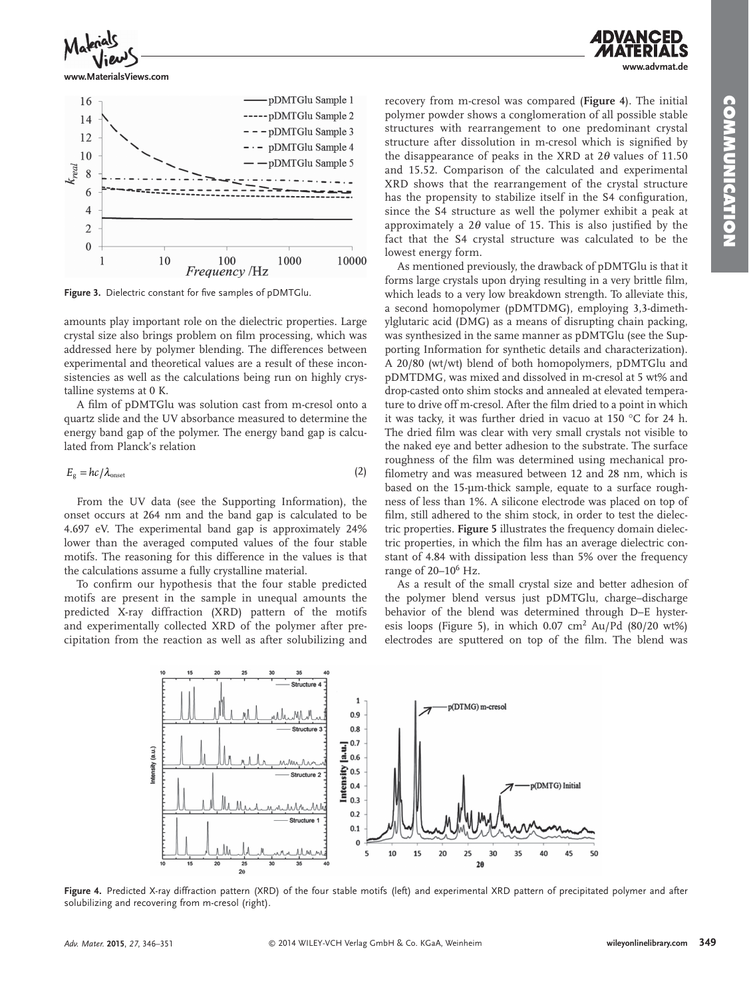**www.advmat.de**



**www.MaterialsViews.com**



Figure 3. Dielectric constant for five samples of pDMTGlu.

amounts play important role on the dielectric properties. Large crystal size also brings problem on film processing, which was addressed here by polymer blending. The differences between experimental and theoretical values are a result of these inconsistencies as well as the calculations being run on highly crystalline systems at 0 K.

A film of pDMTGlu was solution cast from m-cresol onto a quartz slide and the UV absorbance measured to determine the energy band gap of the polymer. The energy band gap is calculated from Planck's relation

$$
E_{\rm g} = hc/\lambda_{\rm onset} \tag{2}
$$

 From the UV data (see the Supporting Information), the onset occurs at 264 nm and the band gap is calculated to be 4.697 eV. The experimental band gap is approximately 24% lower than the averaged computed values of the four stable motifs. The reasoning for this difference in the values is that the calculations assume a fully crystalline material.

To confirm our hypothesis that the four stable predicted motifs are present in the sample in unequal amounts the predicted X-ray diffraction (XRD) pattern of the motifs and experimentally collected XRD of the polymer after precipitation from the reaction as well as after solubilizing and

recovery from m-cresol was compared ( **Figure 4** ). The initial polymer powder shows a conglomeration of all possible stable structures with rearrangement to one predominant crystal structure after dissolution in m-cresol which is signified by the disappearance of peaks in the XRD at  $2\theta$  values of 11.50 and 15.52. Comparison of the calculated and experimental XRD shows that the rearrangement of the crystal structure has the propensity to stabilize itself in the S4 configuration, since the S4 structure as well the polymer exhibit a peak at approximately a  $2\theta$  value of 15. This is also justified by the fact that the S4 crystal structure was calculated to be the lowest energy form.

 As mentioned previously, the drawback of pDMTGlu is that it forms large crystals upon drying resulting in a very brittle film, which leads to a very low breakdown strength. To alleviate this, a second homopolymer (pDMTDMG), employing 3,3-dimethylglutaric acid (DMG) as a means of disrupting chain packing, was synthesized in the same manner as pDMTGlu (see the Supporting Information for synthetic details and characterization). A 20/80 (wt/wt) blend of both homopolymers, pDMTGlu and pDMTDMG, was mixed and dissolved in m-cresol at 5 wt% and drop-casted onto shim stocks and annealed at elevated temperature to drive off m-cresol. After the film dried to a point in which it was tacky, it was further dried in vacuo at 150 °C for 24 h. The dried film was clear with very small crystals not visible to the naked eye and better adhesion to the substrate. The surface roughness of the film was determined using mechanical profilometry and was measured between 12 and 28 nm, which is based on the 15-µm-thick sample, equate to a surface roughness of less than 1%. A silicone electrode was placed on top of film, still adhered to the shim stock, in order to test the dielectric properties. **Figure 5** illustrates the frequency domain dielectric properties, in which the film has an average dielectric constant of 4.84 with dissipation less than 5% over the frequency range of 20-10<sup>6</sup> Hz.

 As a result of the small crystal size and better adhesion of the polymer blend versus just pDMTGlu, charge–discharge behavior of the blend was determined through D–E hysteresis loops (Figure 5), in which  $0.07 \text{ cm}^2$  Au/Pd (80/20 wt%) electrodes are sputtered on top of the film. The blend was



Figure 4. Predicted X-ray diffraction pattern (XRD) of the four stable motifs (left) and experimental XRD pattern of precipitated polymer and after solubilizing and recovering from m-cresol (right).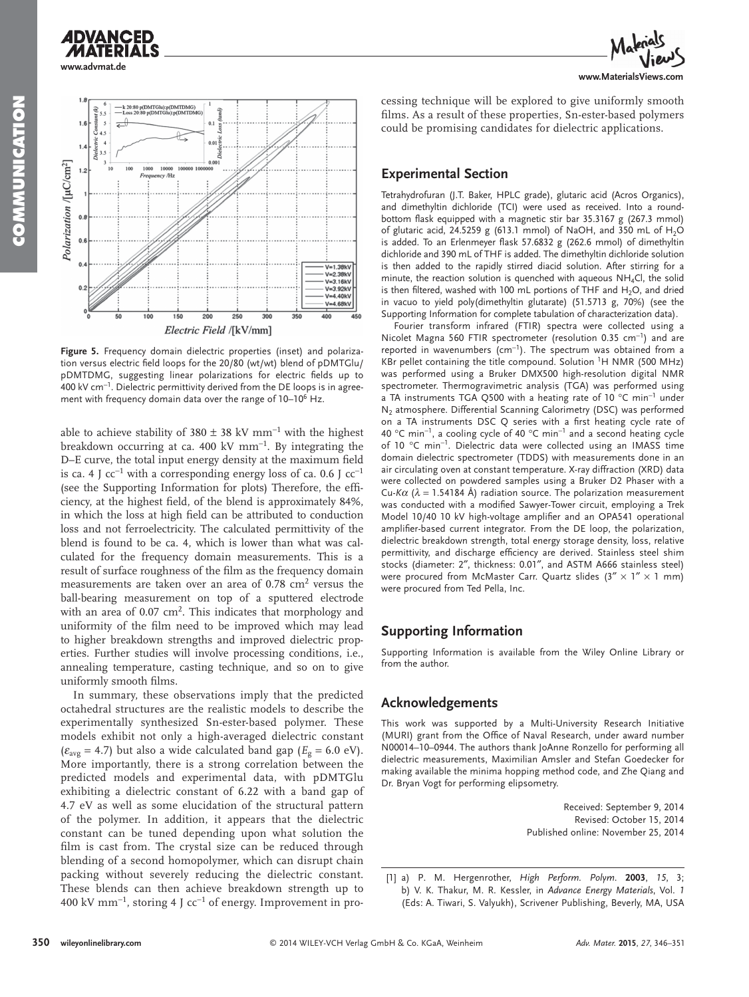**www.advmat.de**

**ADVANCED** 





**Figure 5.** Frequency domain dielectric properties (inset) and polarization versus electric field loops for the 20/80 (wt/wt) blend of pDMTGlu/ pDMTDMG, suggesting linear polarizations for electric fields up to 400 kV cm<sup>-1</sup>. Dielectric permittivity derived from the DE loops is in agreement with frequency domain data over the range of 10–10<sup>6</sup> Hz.

able to achieve stability of 380  $\pm$  38 kV mm<sup>-1</sup> with the highest breakdown occurring at ca. 400 kV mm<sup>-1</sup>. By integrating the D–E curve, the total input energy density at the maximum field is ca. 4 J cc $^{-1}$  with a corresponding energy loss of ca. 0.6 J cc $^{-1}$ (see the Supporting Information for plots) Therefore, the efficiency, at the highest field, of the blend is approximately 84%, in which the loss at high field can be attributed to conduction loss and not ferroelectricity. The calculated permittivity of the blend is found to be ca. 4, which is lower than what was calculated for the frequency domain measurements. This is a result of surface roughness of the film as the frequency domain measurements are taken over an area of  $0.78 \text{ cm}^2$  versus the ball-bearing measurement on top of a sputtered electrode with an area of  $0.07 \text{ cm}^2$ . This indicates that morphology and uniformity of the film need to be improved which may lead to higher breakdown strengths and improved dielectric properties. Further studies will involve processing conditions, i.e., annealing temperature, casting technique, and so on to give uniformly smooth films.

 In summary, these observations imply that the predicted octahedral structures are the realistic models to describe the experimentally synthesized Sn-ester-based polymer. These models exhibit not only a high-averaged dielectric constant  $(\varepsilon_{\text{avg}} = 4.7)$  but also a wide calculated band gap ( $E_g = 6.0 \text{ eV}$ ). More importantly, there is a strong correlation between the predicted models and experimental data, with pDMTGlu exhibiting a dielectric constant of 6.22 with a band gap of 4.7 eV as well as some elucidation of the structural pattern of the polymer. In addition, it appears that the dielectric constant can be tuned depending upon what solution the film is cast from. The crystal size can be reduced through blending of a second homopolymer, which can disrupt chain packing without severely reducing the dielectric constant. These blends can then achieve breakdown strength up to 400 kV mm<sup>-1</sup>, storing 4 J cc<sup>-1</sup> of energy. Improvement in processing technique will be explored to give uniformly smooth films. As a result of these properties, Sn-ester-based polymers could be promising candidates for dielectric applications.

## **Experimental Section**

 Tetrahydrofuran (J.T. Baker, HPLC grade), glutaric acid (Acros Organics), and dimethyltin dichloride (TCI) were used as received. Into a roundbottom flask equipped with a magnetic stir bar 35.3167 g (267.3 mmol) of glutaric acid, 24.5259 g (613.1 mmol) of NaOH, and 350 mL of H<sub>2</sub>O is added. To an Erlenmeyer flask 57.6832 g (262.6 mmol) of dimethyltin dichloride and 390 mL of THF is added. The dimethyltin dichloride solution is then added to the rapidly stirred diacid solution. After stirring for a minute, the reaction solution is quenched with aqueous  $NH_4Cl$ , the solid is then filtered, washed with 100 mL portions of THF and  $H_2O$ , and dried in vacuo to yield poly(dimethyltin glutarate) (51.5713 g, 70%) (see the Supporting Information for complete tabulation of characterization data).

 Fourier transform infrared (FTIR) spectra were collected using a Nicolet Magna 560 FTIR spectrometer (resolution 0.35 cm<sup>-1</sup>) and are reported in wavenumbers (cm<sup>-1</sup>). The spectrum was obtained from a KBr pellet containing the title compound. Solution  ${}^{1}H$  NMR (500 MHz) was performed using a Bruker DMX500 high-resolution digital NMR spectrometer. Thermogravimetric analysis (TGA) was performed using a TA instruments TGA Q500 with a heating rate of 10 °C min<sup>-1</sup> under  $N_2$  atmosphere. Differential Scanning Calorimetry (DSC) was performed on a TA instruments DSC Q series with a first heating cycle rate of 40 °C min<sup>-1</sup>, a cooling cycle of 40 °C min<sup>-1</sup> and a second heating cycle of 10 °C min<sup>-1</sup>. Dielectric data were collected using an IMASS time domain dielectric spectrometer (TDDS) with measurements done in an air circulating oven at constant temperature. X-ray diffraction (XRD) data were collected on powdered samples using a Bruker D2 Phaser with a Cu- $K\alpha$  ( $\lambda$  = 1.54184 Å) radiation source. The polarization measurement was conducted with a modified Sawyer-Tower circuit, employing a Trek Model 10/40 10 kV high-voltage amplifier and an OPA541 operational amplifier-based current integrator. From the DE loop, the polarization, dielectric breakdown strength, total energy storage density, loss, relative permittivity, and discharge efficiency are derived. Stainless steel shim stocks (diameter: 2″, thickness: 0.01″, and ASTM A666 stainless steel) were procured from McMaster Carr. Quartz slides  $(3'' \times 1'' \times 1$  mm) were procured from Ted Pella, Inc.

## **Supporting Information**

 Supporting Information is available from the Wiley Online Library or from the author.

## **Acknowledgements**

 This work was supported by a Multi-University Research Initiative (MURI) grant from the Office of Naval Research, under award number N00014–10–0944. The authors thank JoAnne Ronzello for performing all dielectric measurements, Maximilian Amsler and Stefan Goedecker for making available the minima hopping method code, and Zhe Qiang and Dr. Bryan Vogt for performing elipsometry.

> Received: September 9, 2014 Revised: October 15, 2014 Published online: November 25, 2014

<sup>[1]</sup> a) P. M. Hergenrother, *High Perform. Polym.* **2003**, 15, 3; b) V. K. Thakur, M. R. Kessler, in Advance Energy Materials, Vol. 1 (Eds: A. Tiwari, S. Valyukh), Scrivener Publishing, Beverly, MA, USA